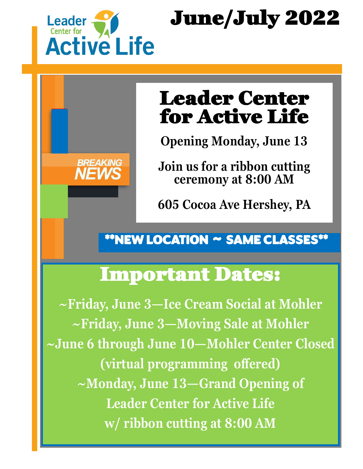

# June/July 2022

# Leader Center for Active Life

**Opening Monday, June 13** 

**Join us for a ribbon cutting ceremony at 8:00 AM** 

**605 Cocoa Ave Hershey, PA**

## \*\*NEW LOCATION ~ SAME CLASSES\*\*

# Important Dates:

**~Friday, June 3—Ice Cream Social at Mohler ~Friday, June 3—Moving Sale at Mohler ~June 6 through June 10—Mohler Center Closed (virtual programming offered) ~Monday, June 13—Grand Opening of Leader Center for Active Life w/ ribbon cutting at 8:00 AM**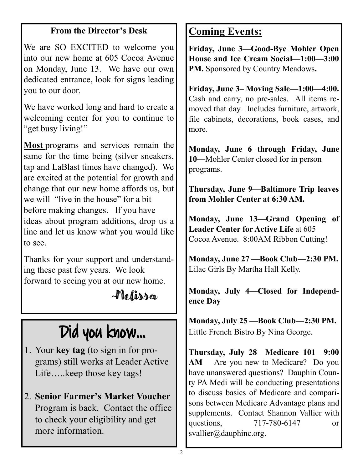### **From the Director's Desk**

We are SO EXCITED to welcome you into our new home at 605 Cocoa Avenue on Monday, June 13. We have our own dedicated entrance, look for signs leading you to our door.

We have worked long and hard to create a welcoming center for you to continue to "get busy living!"

**Most** programs and services remain the same for the time being (silver sneakers, tap and LaBlast times have changed). We are excited at the potential for growth and change that our new home affords us, but we will "live in the house" for a bit before making changes. If you have ideas about program additions, drop us a line and let us know what you would like to see.

Thanks for your support and understanding these past few years. We look forward to seeing you at our new home.

~Melissa

# Did you know...

- 1. Your **key tag** (to sign in for programs) still works at Leader Active Life…..keep those key tags!
- 2. **Senior Farmer's Market Voucher**  Program is back. Contact the office to check your eligibility and get more information.

### **Coming Events:**

**Friday, June 3—Good-Bye Mohler Open House and Ice Cream Social—1:00—3:00 PM.** Sponsored by Country Meadows**.** 

**Friday, June 3– Moving Sale—1:00—4:00.**  Cash and carry, no pre-sales. All items removed that day. Includes furniture, artwork, file cabinets, decorations, book cases, and more.

**Monday, June 6 through Friday, June 10—**Mohler Center closed for in person programs.

**Thursday, June 9—Baltimore Trip leaves from Mohler Center at 6:30 AM.** 

**Monday, June 13—Grand Opening of Leader Center for Active Life** at 605 Cocoa Avenue. 8:00AM Ribbon Cutting!

**Monday, June 27 —Book Club—2:30 PM.**  Lilac Girls By Martha Hall Kelly.

**Monday, July 4—Closed for Independence Day**

**Monday, July 25 —Book Club—2:30 PM.**  Little French Bistro By Nina George.

**Thursday, July 28—Medicare 101—9:00 AM** Are you new to Medicare? Do you have unanswered questions? Dauphin County PA Medi will be conducting presentations to discuss basics of Medicare and comparisons between Medicare Advantage plans and supplements. Contact Shannon Vallier with questions, 717-780-6147 or svallier@dauphinc.org.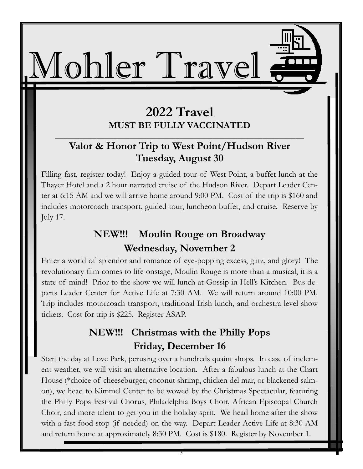### **Trav THE TURNER (BROW): MUST BE FULLY VACCINATED 2022 Travel**

Mohler Travel

#### to West Poin  $F_{\text{m}} = \frac{1}{1 - 1}$  as she transformation of  $\pi$ trip is  $220.$  Tuesday, August 30 **Valor & Honor Trip to West Point/Hudson River**

\_\_\_\_\_\_\_\_\_\_\_\_\_\_\_\_\_\_\_\_\_\_\_\_\_\_\_\_\_\_\_\_\_\_\_\_\_\_\_\_\_\_\_\_\_\_\_\_\_\_\_\_\_\_\_\_\_\_\_\_

Filling fast, register today! Enjoy a guided tour of West Point, a buffet lunch at the ter at 6:15 AM and we will arrive home around 9:00 PM. Cost of the trip is \$160 and **Thursday** includes motorcoach transport, guided tour, luncheon buffet, and cruise. Reserve by  $\sum_{i=1}^{N}$ Thayer Hotel and a 2 hour narrated cruise of the Hudson River. Depart Leader Cen-July 17.

#### **Point the COMBINE WE through a buffet lunch at the SNEW!!!** Moulin Rouge on Broadway Thayer Hotel at West Point. Finally, we board the Pride of the Hudson for a 2 hour **narrated cruise of the Hudson River. Our day starts at 6:15 AM and we will also consider the Hudson River. The Hudson River. And we will also consider the Hudson River. And we will also consider the Music Section River. T**

Enter a world of splendor and romance of eye-popping excess, glitz, and glory! The revolutionary film comes to life onstage, Moulin Rouge is more than a musical, it is a **Baltimore Dine Around Around Triple Around Triple Around Triple Around Triple Around Triple Around Triple Around Triple Around Triple Around Triple Around Triple Around Triple Around Triple Around Triple Around Triple Aro** rt, traditional filsh fund<br>ster ASAD state of mind! Prior to the show we will lunch at Gossip in Hell's Kitchen. Bus departs Leader Center for Active Life at 7:30 AM. We will return around 10:00 PM. Trip includes motorcoach transport, traditional Irish lunch, and orchestra level show tickets. Cost for trip is \$225. Register ASAP.

### $\mathcal{B}$  the morning with a hot breakfast inside the Baltimore Aquarium and prepare Aquarium and prepare Aquarium and prepare  $\mathcal{B}$ **For Yullet and Start on all the Philly Pops Aquarium. Next, enjoy a 45 minute significant significant cruise of Inner Harbor. Then, enjoy a 45 minute significant cruise of Inner Harbor. Then, enjoy a 45 minute significant cruise of Inner Harbor. Then, enjoy a 45 mi**

Start the day at Love Park, perusing over a hundreds quaint shops. In case of inclement weather, we will visit an alternative location. After a fabulous lunch at the Chart House (\*choice of cheeseburger, coconut shrimp, chicken del mar, or blackened salmon), we head to Kimmel Center to be wowed by the Christmas Spectacular, featuring the Philly Pops Festival Chorus, Philadelphia Boys Choir, African Episcopal Church Choir, and more talent to get you in the holiday sprit. We head home after the show with a fast food stop (if needed) on the way. Depart Leader Active Life at 8:30 AM and return home at approximately 8:30 PM. Cost is \$180. Register by November 1.

3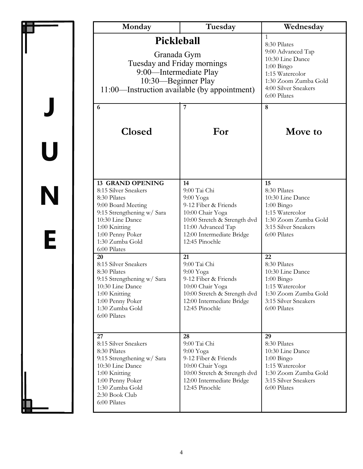|   | Monday                                                                                                                                                                                                          | Tuesday                                                                                                                                                                          | Wednesday                                                                                                                                                                |
|---|-----------------------------------------------------------------------------------------------------------------------------------------------------------------------------------------------------------------|----------------------------------------------------------------------------------------------------------------------------------------------------------------------------------|--------------------------------------------------------------------------------------------------------------------------------------------------------------------------|
|   | <b>Pickleball</b><br>Granada Gym<br>Tuesday and Friday mornings<br>9:00—Intermediate Play<br>10:30—Beginner Play<br>11:00—Instruction available (by appointment)                                                |                                                                                                                                                                                  | $\mathbf{1}$<br>8:30 Pilates<br>9:00 Advanced Tap<br>10:30 Line Dance<br>$1:00$ Bingo<br>1:15 Watercolor<br>1:30 Zoom Zumba Gold<br>4:00 Silver Sneakers<br>6:00 Pilates |
|   | 6<br><b>Closed</b>                                                                                                                                                                                              | $\overline{7}$<br>For                                                                                                                                                            | 8<br>Move to                                                                                                                                                             |
| Ε | <b>13 GRAND OPENING</b><br>8:15 Silver Sneakers<br>8:30 Pilates<br>9:00 Board Meeting<br>9:15 Strengthening w/ Sara<br>10:30 Line Dance<br>1:00 Knitting<br>1:00 Penny Poker<br>1:30 Zumba Gold<br>6:00 Pilates | 14<br>9:00 Tai Chi<br>9:00 Yoga<br>9-12 Fiber & Friends<br>10:00 Chair Yoga<br>10:00 Stretch & Strength dvd<br>11:00 Advanced Tap<br>12:00 Intermediate Bridge<br>12:45 Pinochle | 15<br>8:30 Pilates<br>10:30 Line Dance<br>$1:00$ Bingo<br>1:15 Watercolor<br>1:30 Zoom Zumba Gold<br>3:15 Silver Sneakers<br>6:00 Pilates                                |
|   | 20<br>8:15 Silver Sneakers<br>8:30 Pilates<br>9:15 Strengthening w/ Sara<br>10:30 Line Dance<br>1:00 Knitting<br>1:00 Penny Poker<br>1:30 Zumba Gold<br>6:00 Pilates                                            | 21<br>9:00 Tai Chi<br>9:00 Yoga<br>9-12 Fiber & Friends<br>10:00 Chair Yoga<br>10:00 Stretch & Strength dvd<br>12:00 Intermediate Bridge<br>12:45 Pinochle                       | 22<br>8:30 Pilates<br>10:30 Line Dance<br>$1:00$ Bingo<br>1:15 Watercolor<br>1:30 Zoom Zumba Gold<br>3:15 Silver Sneakers<br>6:00 Pilates                                |
|   | 27<br>8:15 Silver Sneakers<br>8:30 Pilates<br>9:15 Strengthening w/ Sara<br>10:30 Line Dance<br>1:00 Knitting<br>1:00 Penny Poker<br>1:30 Zumba Gold<br>2:30 Book Club<br>6:00 Pilates                          | 28<br>9:00 Tai Chi<br>$9:00$ Yoga<br>9-12 Fiber & Friends<br>10:00 Chair Yoga<br>10:00 Stretch & Strength dvd<br>12:00 Intermediate Bridge<br>12:45 Pinochle                     | 29<br>8:30 Pilates<br>10:30 Line Dance<br>$1:00$ Bingo<br>1:15 Watercolor<br>1:30 Zoom Zumba Gold<br>3:15 Silver Sneakers<br>6:00 Pilates                                |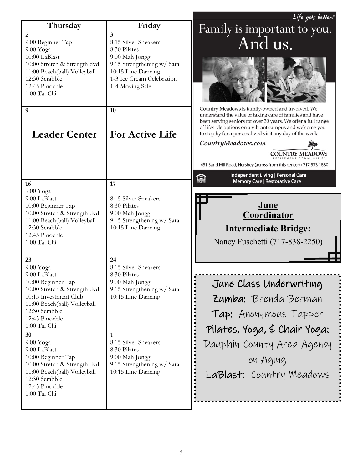|                                                                                                                                                                                                                                                                                                                                                                                     |                                                                                                                                                                                                                                     | Life gets better.                                                                                                                                                                                                                                                                                                                                                                                                                                                                                                |
|-------------------------------------------------------------------------------------------------------------------------------------------------------------------------------------------------------------------------------------------------------------------------------------------------------------------------------------------------------------------------------------|-------------------------------------------------------------------------------------------------------------------------------------------------------------------------------------------------------------------------------------|------------------------------------------------------------------------------------------------------------------------------------------------------------------------------------------------------------------------------------------------------------------------------------------------------------------------------------------------------------------------------------------------------------------------------------------------------------------------------------------------------------------|
| Thursday                                                                                                                                                                                                                                                                                                                                                                            | Friday                                                                                                                                                                                                                              | Family is important to you.                                                                                                                                                                                                                                                                                                                                                                                                                                                                                      |
| $\overline{2}$<br>9:00 Beginner Tap<br>$9:00$ Yoga<br>10:00 LaBlast<br>10:00 Stretch & Strength dvd<br>11:00 Beach(ball) Volleyball<br>12:30 Scrabble<br>12:45 Pinochle<br>1:00 Tai Chi                                                                                                                                                                                             | 3<br>8:15 Silver Sneakers<br>8:30 Pilates<br>9:00 Mah Jongg<br>9:15 Strengthening w/ Sara<br>10:15 Line Dancing<br>1-3 Ice Cream Celebration<br>1-4 Moving Sale                                                                     | And us.                                                                                                                                                                                                                                                                                                                                                                                                                                                                                                          |
| 9<br><b>Leader Center</b><br>16                                                                                                                                                                                                                                                                                                                                                     | 10<br><b>For Active Life</b><br>17                                                                                                                                                                                                  | Country Meadows is family-owned and involved. We<br>understand the value of taking care of families and have<br>been serving seniors for over 30 years. We offer a full range<br>of lifestyle options on a vibrant campus and welcome you<br>to stop by for a personalized visit any day of the week<br>CountryMeadows.com<br><b>COUNTRY MEADOWS</b><br>451 Sand Hill Road, Hershey (across from this center) · 717-533-1880<br>Independent Living   Personal Care<br>≘<br><b>Memory Care   Restorative Care</b> |
| 9:00 Yoga<br>9:00 LaBlast<br>10:00 Beginner Tap<br>10:00 Stretch & Strength dvd<br>11:00 Beach(ball) Volleyball<br>12:30 Scrabble<br>12:45 Pinochle<br>1:00 Tai Chi                                                                                                                                                                                                                 | 8:15 Silver Sneakers<br>8:30 Pilates<br>9:00 Mah Jongg<br>9:15 Strengthening w/ Sara<br>10:15 Line Dancing                                                                                                                          | <u>June</u><br>Coordinator<br><b>Intermediate Bridge:</b><br>Nancy Fuschetti (717-838-2250)                                                                                                                                                                                                                                                                                                                                                                                                                      |
| 23<br>$9:00$ Yoga<br>9:00 LaBlast<br>10:00 Beginner Tap<br>10:00 Stretch & Strength dvd<br>10:15 Investment Club<br>11:00 Beach(ball) Volleyball<br>12:30 Scrabble<br>12:45 Pinochle<br>1:00 Tai Chi<br>30<br>$9:00$ Yoga<br>9:00 LaBlast<br>10:00 Beginner Tap<br>10:00 Stretch & Strength dvd<br>11:00 Beach(ball) Volleyball<br>12:30 Scrabble<br>12:45 Pinochle<br>1:00 Tai Chi | 24<br>8:15 Silver Sneakers<br>8:30 Pilates<br>9:00 Mah Jongg<br>9:15 Strengthening w/ Sara<br>10:15 Line Dancing<br>1<br>8:15 Silver Sneakers<br>8:30 Pilates<br>9:00 Mah Jongg<br>9:15 Strengthening w/ Sara<br>10:15 Line Dancing | June Class Underwriting<br>Zumba: Brenda Berman<br>Tap: Anonymous Tapper<br>Pilates, Yoga, \$ Chair Yoga:<br>Dauphin County Area Agency<br>on Aging<br><b>LaBlast:</b> Country Meadows                                                                                                                                                                                                                                                                                                                           |
|                                                                                                                                                                                                                                                                                                                                                                                     |                                                                                                                                                                                                                                     |                                                                                                                                                                                                                                                                                                                                                                                                                                                                                                                  |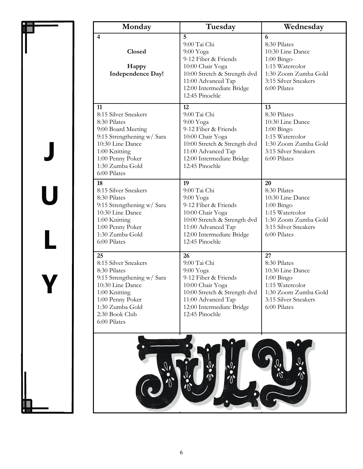| $\overline{\mathsf{L}}$ |  |
|-------------------------|--|

| Monday                                                                                                                                                                                     | Tuesday                                                                                                                                                                            | Wednesday                                                                                                                                 |
|--------------------------------------------------------------------------------------------------------------------------------------------------------------------------------------------|------------------------------------------------------------------------------------------------------------------------------------------------------------------------------------|-------------------------------------------------------------------------------------------------------------------------------------------|
| $\overline{4}$<br>Closed<br>Happy<br><b>Independence Day!</b>                                                                                                                              | 5<br>9:00 Tai Chi<br>$9:00$ Yoga<br>9-12 Fiber & Friends<br>10:00 Chair Yoga<br>10:00 Stretch & Strength dvd<br>11:00 Advanced Tap<br>12:00 Intermediate Bridge<br>12:45 Pinochle  | 6<br>8:30 Pilates<br>10:30 Line Dance<br>$1:00$ Bingo<br>1:15 Watercolor<br>1:30 Zoom Zumba Gold<br>3:15 Silver Sneakers<br>6:00 Pilates  |
| 11<br>8:15 Silver Sneakers<br>8:30 Pilates<br>9:00 Board Meeting<br>9:15 Strengthening w/ Sara<br>10:30 Line Dance<br>1:00 Knitting<br>1:00 Penny Poker<br>1:30 Zumba Gold<br>6:00 Pilates | 12<br>9:00 Tai Chi<br>$9:00$ Yoga<br>9-12 Fiber & Friends<br>10:00 Chair Yoga<br>10:00 Stretch & Strength dvd<br>11:00 Advanced Tap<br>12:00 Intermediate Bridge<br>12:45 Pinochle | 13<br>8:30 Pilates<br>10:30 Line Dance<br>$1:00$ Bingo<br>1:15 Watercolor<br>1:30 Zoom Zumba Gold<br>3:15 Silver Sneakers<br>6:00 Pilates |
| 18<br>8:15 Silver Sneakers<br>8:30 Pilates<br>9:15 Strengthening w/ Sara<br>10:30 Line Dance<br>1:00 Knitting<br>1:00 Penny Poker<br>1:30 Zumba Gold<br>6:00 Pilates                       | 19<br>9:00 Tai Chi<br>$9:00$ Yoga<br>9-12 Fiber & Friends<br>10:00 Chair Yoga<br>10:00 Stretch & Strength dvd<br>11:00 Advanced Tap<br>12:00 Intermediate Bridge<br>12:45 Pinochle | 20<br>8:30 Pilates<br>10:30 Line Dance<br>$1:00$ Bingo<br>1:15 Watercolor<br>1:30 Zoom Zumba Gold<br>3:15 Silver Sneakers<br>6:00 Pilates |
| 25<br>8:15 Silver Sneakers<br>8:30 Pilates<br>9:15 Strengthening w/ Sara<br>10:30 Line Dance<br>1:00 Knitting<br>1:00 Penny Poker<br>1:30 Zumba Gold<br>2:30 Book Club<br>6:00 Pilates     | 26<br>9:00 Tai Chi<br>$9:00$ Yoga<br>9-12 Fiber & Friends<br>10:00 Chair Yoga<br>10:00 Stretch & Strength dvd<br>11:00 Advanced Tap<br>12:00 Intermediate Bridge<br>12:45 Pinochle | 27<br>8:30 Pilates<br>10:30 Line Dance<br>$1:00$ Bingo<br>1:15 Watercolor<br>1:30 Zoom Zumba Gold<br>3:15 Silver Sneakers<br>6:00 Pilates |
|                                                                                                                                                                                            | $\sqrt{0}$<br>is.                                                                                                                                                                  | $\sqrt{\ }$                                                                                                                               |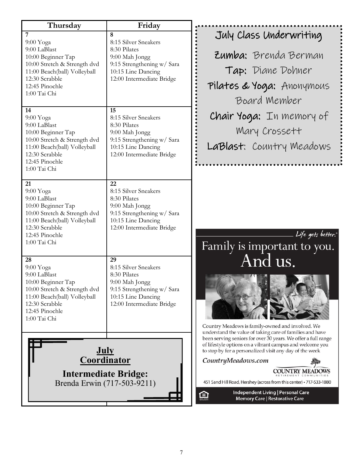| Thursday                                                                                                                                                                              | Friday                                                                                                                                        |                                                                                                                                                                                                                                                                                                                                                                                                                                                                                      |  |
|---------------------------------------------------------------------------------------------------------------------------------------------------------------------------------------|-----------------------------------------------------------------------------------------------------------------------------------------------|--------------------------------------------------------------------------------------------------------------------------------------------------------------------------------------------------------------------------------------------------------------------------------------------------------------------------------------------------------------------------------------------------------------------------------------------------------------------------------------|--|
| $\overline{7}$<br>9:00 Yoga<br>9:00 LaBlast<br>10:00 Beginner Tap<br>10:00 Stretch & Strength dvd<br>11:00 Beach(ball) Volleyball<br>12:30 Scrabble<br>12:45 Pinochle<br>1:00 Tai Chi | 8<br>8:15 Silver Sneakers<br>8:30 Pilates<br>9:00 Mah Jongg<br>9:15 Strengthening w/ Sara<br>10:15 Line Dancing<br>12:00 Intermediate Bridge  | July Class Underwriting<br><b>Zumba:</b> Brenda Berman<br>Tap: Diane Dohner<br>Pilates & Yoga: Anonymous<br>Board Member<br>Chair Yoga: In memory of<br>Mary Crossett<br><b>LaBlast:</b> Country Meadows                                                                                                                                                                                                                                                                             |  |
| 14<br>9:00 Yoga<br>9:00 LaBlast<br>10:00 Beginner Tap<br>10:00 Stretch & Strength dvd<br>11:00 Beach(ball) Volleyball<br>12:30 Scrabble<br>12:45 Pinochle<br>1:00 Tai Chi             | 15<br>8:15 Silver Sneakers<br>8:30 Pilates<br>9:00 Mah Jongg<br>9:15 Strengthening w/ Sara<br>10:15 Line Dancing<br>12:00 Intermediate Bridge |                                                                                                                                                                                                                                                                                                                                                                                                                                                                                      |  |
| 21<br>9:00 Yoga<br>9:00 LaBlast<br>10:00 Beginner Tap<br>10:00 Stretch & Strength dvd<br>11:00 Beach(ball) Volleyball<br>12:30 Scrabble<br>12:45 Pinochle<br>1:00 Tai Chi             | 22<br>8:15 Silver Sneakers<br>8:30 Pilates<br>9:00 Mah Jongg<br>9:15 Strengthening w/ Sara<br>10:15 Line Dancing<br>12:00 Intermediate Bridge | Life gets better.<br>Family is important to you.                                                                                                                                                                                                                                                                                                                                                                                                                                     |  |
| 28<br>$9:00$ Yoga<br>9:00 LaBlast<br>10:00 Beginner Tap<br>10:00 Stretch & Strength dvd<br>11:00 Beach(ball) Volleyball<br>12:30 Scrabble<br>12:45 Pinochle<br>1:00 Tai Chi           | 29<br>8:15 Silver Sneakers<br>8:30 Pilates<br>9:00 Mah Jongg<br>9:15 Strengthening w/ Sara<br>10:15 Line Dancing<br>12:00 Intermediate Bridge | And us.<br>Country Meadows is family-owned and involved. We                                                                                                                                                                                                                                                                                                                                                                                                                          |  |
| <b>July</b><br>Coordinator<br><b>Intermediate Bridge:</b><br>Brenda Erwin (717-503-9211)                                                                                              |                                                                                                                                               | understand the value of taking care of families and have<br>been serving seniors for over 30 years. We offer a full range<br>of lifestyle options on a vibrant campus and welcome you<br>to stop by for a personalized visit any day of the week<br>CountryMeadows.com<br><b>COUNTRY MEADOWS</b><br>ETIREMENT COMMUNITIE<br>451 Sand Hill Road, Hershey (across from this center) • 717-533-1880<br>Independent Living   Personal Care<br>冟<br><b>Memory Care   Restorative Care</b> |  |